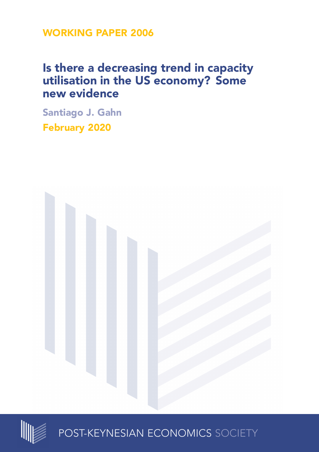**WORKING PAPER 2006**

# **Is there a decreasing trend in capacity utilisation in the US economy? Some new evidence**

**Santiago J. Gahn February 2020**





POST-KEYNESIAN ECONOMICS SOCIETY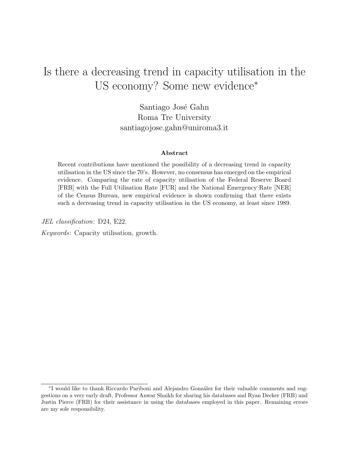# Is there a decreasing trend in capacity utilisation in the US economy? Some new evidence<sup>∗</sup>

Santiago José Gahn Roma Tre University santiagojose.gahn@uniroma3.it

#### Abstract

Recent contributions have mentioned the possibility of a decreasing trend in capacity utilisation in the US since the 70's. However, no consensus has emerged on the empirical evidence. Comparing the rate of capacity utilisation of the Federal Reserve Board [FRB] with the Full Utilisation Rate [FUR] and the National Emergency Rate [NER] of the Census Bureau, new empirical evidence is shown confirming that there exists such a decreasing trend in capacity utilisation in the US economy, at least since 1989.

JEL classification: D24, E22.

Keywords: Capacity utilisation, growth.

<sup>\*</sup>I would like to thank Riccardo Pariboni and Alejandro González for their valuable comments and suggestions on a very early draft, Professor Anwar Shaikh for sharing his databases and Ryan Decker (FRB) and Justin Pierce (FRB) for their assistance in using the databases employed in this paper. Remaining errors are my sole responsibility.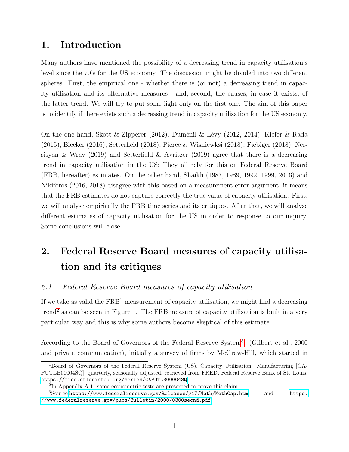# 1. Introduction

Many authors have mentioned the possibility of a decreasing trend in capacity utilisation's level since the 70's for the US economy. The discussion might be divided into two different spheres: First, the empirical one - whether there is (or not) a decreasing trend in capacity utilisation and its alternative measures - and, second, the causes, in case it exists, of the latter trend. We will try to put some light only on the first one. The aim of this paper is to identify if there exists such a decreasing trend in capacity utilisation for the US economy.

On the one hand, Skott & Zipperer (2012), Duménil & Lévy (2012, 2014), Kiefer & Rada (2015), Blecker (2016), Setterfield (2018), Pierce & Wisniewksi (2018), Fiebiger (2018), Nersisyan & Wray (2019) and Setterfield & Avritzer (2019) agree that there is a decreasing trend in capacity utilisation in the US: They all rely for this on Federal Reserve Board (FRB, hereafter) estimates. On the other hand, Shaikh (1987, 1989, 1992, 1999, 2016) and Nikiforos (2016, 2018) disagree with this based on a measurement error argument, it means that the FRB estimates do not capture correctly the true value of capacity utilisation. First, we will analyse empirically the FRB time series and its critiques. After that, we will analyse different estimates of capacity utilisation for the US in order to response to our inquiry. Some conclusions will close.

# 2. Federal Reserve Board measures of capacity utilisation and its critiques

## 2.1. Federal Reserve Board measures of capacity utilisation

If we take as valid the  $\text{FRB}^1$  $\text{FRB}^1$  measurement of capacity utilisation, we might find a decreasing  $t$ rend<sup>[2](#page-2-1)</sup> as can be seen in Figure 1. The FRB measure of capacity utilisation is built in a very particular way and this is why some authors become skeptical of this estimate.

According to the Board of Governors of the Federal Reserve System<sup>[3](#page-2-2)</sup>. (Gilbert et al., 2000) and private communication), initially a survey of firms by McGraw-Hill, which started in

<span id="page-2-0"></span><sup>1</sup>Board of Governors of the Federal Reserve System (US), Capacity Utilization: Manufacturing [CA-PUTLB00004SQ], quarterly, seasonally adjusted, retrieved from FRED, Federal Reserve Bank of St. Louis; <https://fred.stlouisfed.org/series/CAPUTLB00004SQ>

<span id="page-2-2"></span><span id="page-2-1"></span><sup>2</sup> In Appendix A.1. some econometric tests are presented to prove this claim.

 $3$ Source:<https://www.federalreserve.gov/Releases/g17/Meth/MethCap.htm> and [https:](https://www.federalreserve.gov/pubs/Bulletin/2000/0300secnd.pdf) [//www.federalreserve.gov/pubs/Bulletin/2000/0300secnd.pdf](https://www.federalreserve.gov/pubs/Bulletin/2000/0300secnd.pdf)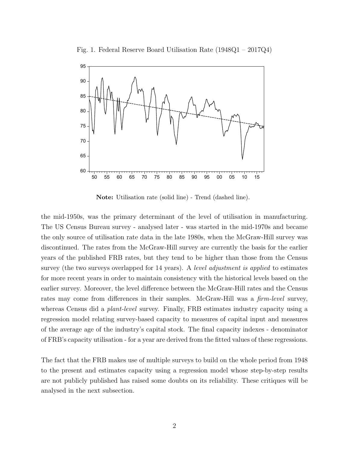



Note: Utilisation rate (solid line) - Trend (dashed line).

the mid-1950s, was the primary determinant of the level of utilisation in manufacturing. The US Census Bureau survey - analysed later - was started in the mid-1970s and became the only source of utilisation rate data in the late 1980s, when the McGraw-Hill survey was discontinued. The rates from the McGraw-Hill survey are currently the basis for the earlier years of the published FRB rates, but they tend to be higher than those from the Census survey (the two surveys overlapped for 14 years). A level adjustment is applied to estimates for more recent years in order to maintain consistency with the historical levels based on the earlier survey. Moreover, the level difference between the McGraw-Hill rates and the Census rates may come from differences in their samples. McGraw-Hill was a *firm-level* survey, whereas Census did a *plant-level* survey. Finally, FRB estimates industry capacity using a regression model relating survey-based capacity to measures of capital input and measures of the average age of the industry's capital stock. The final capacity indexes - denominator of FRB's capacity utilisation - for a year are derived from the fitted values of these regressions.

The fact that the FRB makes use of multiple surveys to build on the whole period from 1948 to the present and estimates capacity using a regression model whose step-by-step results are not publicly published has raised some doubts on its reliability. These critiques will be analysed in the next subsection.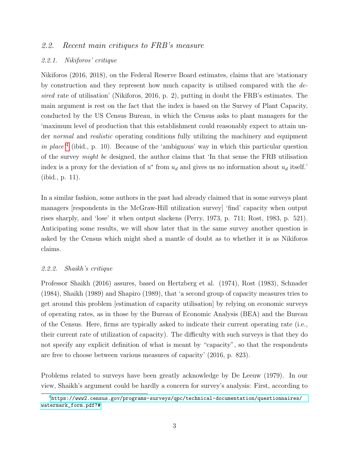### 2.2. Recent main critiques to FRB's measure

### 2.2.1. Nikiforos' critique

Nikiforos (2016, 2018), on the Federal Reserve Board estimates, claims that are 'stationary by construction and they represent how much capacity is utilised compared with the desired rate of utilisation' (Nikiforos, 2016, p. 2), putting in doubt the FRB's estimates. The main argument is rest on the fact that the index is based on the Survey of Plant Capacity, conducted by the US Census Bureau, in which the Census asks to plant managers for the 'maximum level of production that this establishment could reasonably expect to attain under normal and realistic operating conditions fully utilizing the machinery and equipment in place<sup>'[4](#page-4-0)</sup> (ibid., p. 10). Because of the 'ambiguous' way in which this particular question of the survey might be designed, the author claims that 'In that sense the FRB utilisation index is a proxy for the deviation of  $u^*$  from  $u_d$  and gives us no information about  $u_d$  itself.' (ibid., p. 11).

In a similar fashion, some authors in the past had already claimed that in some surveys plant managers [respondents in the McGraw-Hill utilization survey] 'find' capacity when output rises sharply, and 'lose' it when output slackens (Perry, 1973, p. 711; Rost, 1983, p. 521). Anticipating some results, we will show later that in the same survey another question is asked by the Census which might shed a mantle of doubt as to whether it is as Nikiforos claims.

#### 2.2.2. Shaikh's critique

Professor Shaikh (2016) assures, based on Hertzberg et al. (1974), Rost (1983), Schnader (1984), Shaikh (1989) and Shapiro (1989), that 'a second group of capacity measures tries to get around this problem [estimation of capacity utilisation] by relying on economic surveys of operating rates, as in those by the Bureau of Economic Analysis (BEA) and the Bureau of the Census. Here, firms are typically asked to indicate their current operating rate (i.e., their current rate of utilization of capacity). The difficulty with such surveys is that they do not specify any explicit definition of what is meant by "capacity", so that the respondents are free to choose between various measures of capacity' (2016, p. 823).

Problems related to surveys have been greatly acknowledge by De Leeuw (1979). In our view, Shaikh's argument could be hardly a concern for survey's analysis: First, according to

<span id="page-4-0"></span><sup>4</sup>[https://www2.census.gov/programs-surveys/qpc/technical-documentation/questionnaires/](https://www2.census.gov/programs-surveys/qpc/technical-documentation/questionnaires/watermark_form.pdf?##) [watermark\\_form.pdf?#](https://www2.census.gov/programs-surveys/qpc/technical-documentation/questionnaires/watermark_form.pdf?##)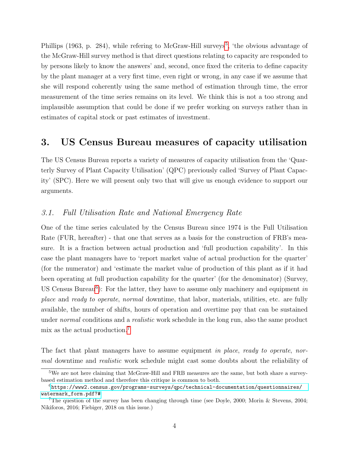Phillips (1963, p. 284), while refering to McGraw-Hill surveys<sup>[5](#page-5-0)</sup>, 'the obvious advantage of the McGraw-Hill survey method is that direct questions relating to capacity are responded to by persons likely to know the answers' and, second, once fixed the criteria to define capacity by the plant manager at a very first time, even right or wrong, in any case if we assume that she will respond coherently using the same method of estimation through time, the error measurement of the time series remains on its level. We think this is not a too strong and implausible assumption that could be done if we prefer working on surveys rather than in estimates of capital stock or past estimates of investment.

# 3. US Census Bureau measures of capacity utilisation

The US Census Bureau reports a variety of measures of capacity utilisation from the 'Quarterly Survey of Plant Capacity Utilisation' (QPC) previously called 'Survey of Plant Capacity' (SPC). Here we will present only two that will give us enough evidence to support our arguments.

### 3.1. Full Utilisation Rate and National Emergency Rate

One of the time series calculated by the Census Bureau since 1974 is the Full Utilisation Rate (FUR, hereafter) - that one that serves as a basis for the construction of FRB's measure. It is a fraction between actual production and 'full production capability'. In this case the plant managers have to 'report market value of actual production for the quarter' (for the numerator) and 'estimate the market value of production of this plant as if it had been operating at full production capability for the quarter' (for the denominator) (Survey, US Census Bureau<sup>[6](#page-5-1)</sup>): For the latter, they have to assume only machinery and equipment in place and ready to operate, normal downtime, that labor, materials, utilities, etc. are fully available, the number of shifts, hours of operation and overtime pay that can be sustained under *normal* conditions and a *realistic* work schedule in the long run, also the same product mix as the actual production.[7](#page-5-2)

The fact that plant managers have to assume equipment in place, ready to operate, normal downtime and realistic work schedule might cast some doubts about the reliability of

<span id="page-5-0"></span><sup>&</sup>lt;sup>5</sup>We are not here claiming that McGraw-Hill and FRB measures are the same, but both share a surveybased estimation method and therefore this critique is common to both.

<span id="page-5-1"></span> $6$ [https://www2.census.gov/programs-surveys/qpc/technical-documentation/questionnaires/](https://www2.census.gov/programs-surveys/qpc/technical-documentation/questionnaires/watermark_form.pdf?##) [watermark\\_form.pdf?#](https://www2.census.gov/programs-surveys/qpc/technical-documentation/questionnaires/watermark_form.pdf?##)

<span id="page-5-2"></span><sup>7</sup>The question of the survey has been changing through time (see Doyle, 2000; Morin & Stevens, 2004; Nikiforos, 2016; Fiebiger, 2018 on this issue.)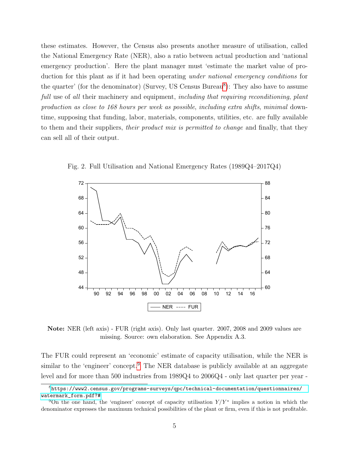these estimates. However, the Census also presents another measure of utilisation, called the National Emergency Rate (NER), also a ratio between actual production and 'national emergency production'. Here the plant manager must 'estimate the market value of production for this plant as if it had been operating under national emergency conditions for the quarter' (for the denominator) (Survey, US Census Bureau<sup>[8](#page-6-0)</sup>): They also have to assume full use of all their machinery and equipment, including that requiring reconditioning, plant production as close to 168 hours per week as possible, including extra shifts, minimal downtime, supposing that funding, labor, materials, components, utilities, etc. are fully available to them and their suppliers, *their product mix is permitted to change* and finally, that they can sell all of their output.



Fig. 2. Full Utilisation and National Emergency Rates (1989Q4–2017Q4)

Note: NER (left axis) - FUR (right axis). Only last quarter. 2007, 2008 and 2009 values are missing. Source: own elaboration. See Appendix A.3.

The FUR could represent an 'economic' estimate of capacity utilisation, while the NER is similar to the 'engineer' concept.<sup>[9](#page-6-1)</sup> The NER database is publicly available at an aggregate level and for more than 500 industries from 1989Q4 to 2006Q4 - only last quarter per year -

<span id="page-6-0"></span><sup>8</sup>[https://www2.census.gov/programs-surveys/qpc/technical-documentation/questionnaires/](https://www2.census.gov/programs-surveys/qpc/technical-documentation/questionnaires/watermark_form.pdf?##) [watermark\\_form.pdf?#](https://www2.census.gov/programs-surveys/qpc/technical-documentation/questionnaires/watermark_form.pdf?##)

<span id="page-6-1"></span><sup>&</sup>lt;sup>9</sup>On the one hand, the 'engineer' concept of capacity utilisation  $Y/Y^*$  implies a notion in which the denominator expresses the maximum technical possibilities of the plant or firm, even if this is not profitable.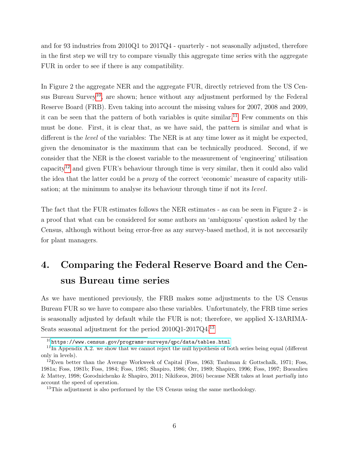and for 93 industries from 2010Q1 to 2017Q4 - quarterly - not seasonally adjusted, therefore in the first step we will try to compare visually this aggregate time series with the aggregate FUR in order to see if there is any compatibility.

In Figure 2 the aggregate NER and the aggregate FUR, directly retrieved from the US Cen-sus Bureau Survey<sup>[10](#page-7-0)</sup>, are shown; hence without any adjustment performed by the Federal Reserve Board (FRB). Even taking into account the missing values for 2007, 2008 and 2009, it can be seen that the pattern of both variables is quite similar.<sup>[11](#page-7-1)</sup> Few comments on this must be done. First, it is clear that, as we have said, the pattern is similar and what is different is the *level* of the variables: The NER is at any time lower as it might be expected, given the denominator is the maximum that can be technically produced. Second, if we consider that the NER is the closest variable to the measurement of 'engineering' utilisation capacity<sup>[12](#page-7-2)</sup> and given FUR's behaviour through time is very similar, then it could also valid the idea that the latter could be a proxy of the correct 'economic' measure of capacity utilisation; at the minimum to analyse its behaviour through time if not its level.

The fact that the FUR estimates follows the NER estimates - as can be seen in Figure 2 - is a proof that what can be considered for some authors an 'ambiguous' question asked by the Census, although without being error-free as any survey-based method, it is not neccesarily for plant managers.

# 4. Comparing the Federal Reserve Board and the Census Bureau time series

As we have mentioned previously, the FRB makes some adjustments to the US Census Bureau FUR so we have to compare also these variables. Unfortunately, the FRB time series is seasonally adjusted by default while the FUR is not; therefore, we applied X-13ARIMA-Seats seasonal adjustment for the period 2010Q1-2017Q4.[13](#page-7-3)

<span id="page-7-1"></span><span id="page-7-0"></span> $10$ <https://www.census.gov/programs-surveys/qpc/data/tables.html>

 $11$ In Appendix A.2. we show that we cannot reject the null hypothesis of both series being equal (different only in levels).

<span id="page-7-2"></span> $12$ Even better than the Average Workweek of Capital (Foss, 1963; Taubman & Gottschalk, 1971; Foss, 1981a; Foss, 1981b; Foss, 1984; Foss, 1985; Shapiro, 1986; Orr, 1989; Shapiro, 1996; Foss, 1997; Bueaulieu & Mattey, 1998; Gorodnichenko & Shapiro, 2011; Nikiforos, 2016) because NER takes at least partially into account the speed of operation.

<span id="page-7-3"></span><sup>&</sup>lt;sup>13</sup>This adjustment is also performed by the US Census using the same methodology.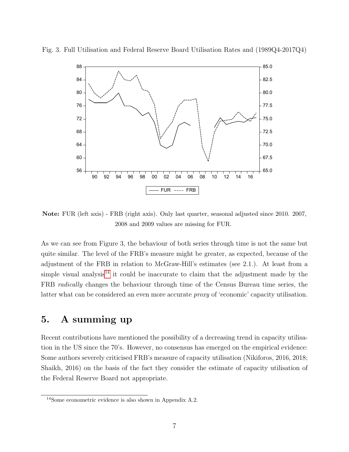

Fig. 3. Full Utilisation and Federal Reserve Board Utilisation Rates and (1989Q4-2017Q4)

Note: FUR (left axis) - FRB (right axis). Only last quarter, seasonal adjusted since 2010. 2007, 2008 and 2009 values are missing for FUR.

As we can see from Figure 3, the behaviour of both series through time is not the same but quite similar. The level of the FRB's measure might be greater, as expected, because of the adjustment of the FRB in relation to McGraw-Hill's estimates (see 2.1.). At least from a simple visual analysis<sup>[14](#page-8-0)</sup> it could be inaccurate to claim that the adjustment made by the FRB radically changes the behaviour through time of the Census Bureau time series, the latter what can be considered an even more accurate proxy of 'economic' capacity utilisation.

# 5. A summing up

Recent contributions have mentioned the possibility of a decreasing trend in capacity utilisation in the US since the 70's. However, no consensus has emerged on the empirical evidence: Some authors severely criticised FRB's measure of capacity utilisation (Nikiforos, 2016, 2018; Shaikh, 2016) on the basis of the fact they consider the estimate of capacity utilisation of the Federal Reserve Board not appropriate.

<span id="page-8-0"></span><sup>14</sup>Some econometric evidence is also shown in Appendix A.2.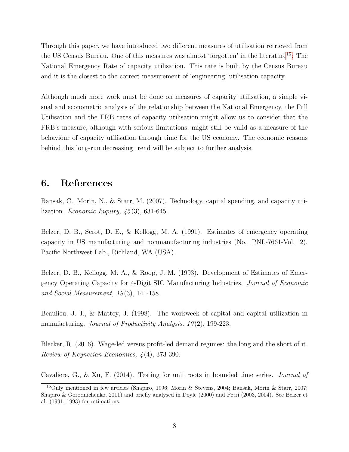Through this paper, we have introduced two different measures of utilisation retrieved from the US Census Bureau. One of this measures was almost 'forgotten' in the literature[15](#page-9-0): The National Emergency Rate of capacity utilisation. This rate is built by the Census Bureau and it is the closest to the correct measurement of 'engineering' utilisation capacity.

Although much more work must be done on measures of capacity utilisation, a simple visual and econometric analysis of the relationship between the National Emergency, the Full Utilisation and the FRB rates of capacity utilisation might allow us to consider that the FRB's measure, although with serious limitations, might still be valid as a measure of the behaviour of capacity utilisation through time for the US economy. The economic reasons behind this long-run decreasing trend will be subject to further analysis.

## 6. References

Bansak, C., Morin, N., & Starr, M. (2007). Technology, capital spending, and capacity utilization. *Economic Inquiry*,  $\frac{45(3)}{631-645}$ .

Belzer, D. B., Serot, D. E., & Kellogg, M. A. (1991). Estimates of emergency operating capacity in US manufacturing and nonmanufacturing industries (No. PNL-7661-Vol. 2). Pacific Northwest Lab., Richland, WA (USA).

Belzer, D. B., Kellogg, M. A., & Roop, J. M. (1993). Development of Estimates of Emergency Operating Capacity for 4-Digit SIC Manufacturing Industries. Journal of Economic and Social Measurement,  $19(3)$ , 141-158.

Beaulieu, J. J., & Mattey, J. (1998). The workweek of capital and capital utilization in manufacturing. Journal of Productivity Analysis,  $10(2)$ , 199-223.

Blecker, R. (2016). Wage-led versus profit-led demand regimes: the long and the short of it. Review of Keynesian Economics, 4 (4), 373-390.

Cavaliere, G., & Xu, F. (2014). Testing for unit roots in bounded time series. Journal of

<span id="page-9-0"></span><sup>15</sup>Only mentioned in few articles (Shapiro, 1996; Morin & Stevens, 2004; Bansak, Morin & Starr, 2007; Shapiro & Gorodnichenko, 2011) and briefly analysed in Doyle (2000) and Petri (2003, 2004). See Belzer et al. (1991, 1993) for estimations.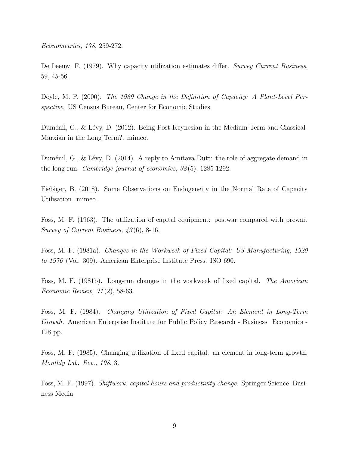Econometrics, 178, 259-272.

De Leeuw, F. (1979). Why capacity utilization estimates differ. Survey Current Business, 59, 45-56.

Doyle, M. P. (2000). The 1989 Change in the Definition of Capacity: A Plant-Level Perspective. US Census Bureau, Center for Economic Studies.

Duménil, G., & Lévy, D. (2012). Being Post-Keynesian in the Medium Term and Classical-Marxian in the Long Term?. mimeo.

Duménil, G., & Lévy, D. (2014). A reply to Amitava Dutt: the role of aggregate demand in the long run. Cambridge journal of economics, 38 (5), 1285-1292.

Fiebiger, B. (2018). Some Observations on Endogeneity in the Normal Rate of Capacity Utilisation. mimeo.

Foss, M. F. (1963). The utilization of capital equipment: postwar compared with prewar. Survey of Current Business, 43 (6), 8-16.

Foss, M. F. (1981a). Changes in the Workweek of Fixed Capital: US Manufacturing, 1929 to 1976 (Vol. 309). American Enterprise Institute Press. ISO 690.

Foss, M. F. (1981b). Long-run changes in the workweek of fixed capital. The American Economic Review, 71 (2), 58-63.

Foss, M. F. (1984). Changing Utilization of Fixed Capital: An Element in Long-Term Growth. American Enterprise Institute for Public Policy Research - Business Economics - 128 pp.

Foss, M. F. (1985). Changing utilization of fixed capital: an element in long-term growth. Monthly Lab. Rev., 108, 3.

Foss, M. F. (1997). Shiftwork, capital hours and productivity change. Springer Science Business Media.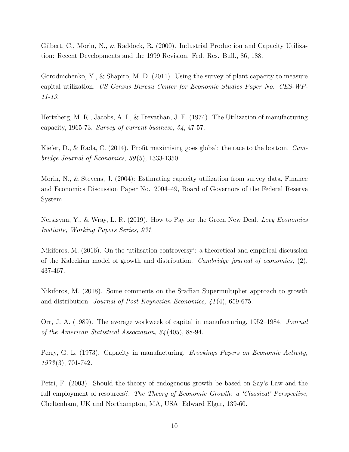Gilbert, C., Morin, N., & Raddock, R. (2000). Industrial Production and Capacity Utilization: Recent Developments and the 1999 Revision. Fed. Res. Bull., 86, 188.

Gorodnichenko, Y., & Shapiro, M. D. (2011). Using the survey of plant capacity to measure capital utilization. US Census Bureau Center for Economic Studies Paper No. CES-WP-11-19.

Hertzberg, M. R., Jacobs, A. I., & Trevathan, J. E. (1974). The Utilization of manufacturing capacity, 1965-73. Survey of current business, 54, 47-57.

Kiefer, D., & Rada, C. (2014). Profit maximising goes global: the race to the bottom. Cambridge Journal of Economics,  $39(5)$ , 1333-1350.

Morin, N., & Stevens, J. (2004): Estimating capacity utilization from survey data, Finance and Economics Discussion Paper No. 2004–49, Board of Governors of the Federal Reserve System.

Nersisyan, Y., & Wray, L. R. (2019). How to Pay for the Green New Deal. Levy Economics Institute, Working Papers Series, 931.

Nikiforos, M. (2016). On the 'utilisation controversy': a theoretical and empirical discussion of the Kaleckian model of growth and distribution. Cambridge journal of economics,  $(2)$ , 437-467.

Nikiforos, M. (2018). Some comments on the Sraffian Supermultiplier approach to growth and distribution. Journal of Post Keynesian Economics, 41 (4), 659-675.

Orr, J. A. (1989). The average workweek of capital in manufacturing, 1952–1984. Journal of the American Statistical Association, 84 (405), 88-94.

Perry, G. L. (1973). Capacity in manufacturing. Brookings Papers on Economic Activity, 1973 (3), 701-742.

Petri, F. (2003). Should the theory of endogenous growth be based on Say's Law and the full employment of resources?. The Theory of Economic Growth: a 'Classical' Perspective, Cheltenham, UK and Northampton, MA, USA: Edward Elgar, 139-60.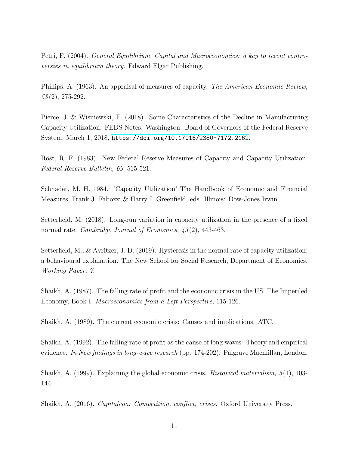Petri, F. (2004). General Equilibrium, Capital and Macroeconomics: a key to recent controversies in equilibrium theory. Edward Elgar Publishing.

Phillips, A. (1963). An appraisal of measures of capacity. The American Economic Review,  $53(2)$ , 275-292.

Pierce, J. & Wisniewski, E. (2018). Some Characteristics of the Decline in Manufacturing Capacity Utilization. FEDS Notes. Washington: Board of Governors of the Federal Reserve System, March 1, 2018, <https://doi.org/10.17016/2380-7172.2162>.

Rost, R. F. (1983). New Federal Reserve Measures of Capacity and Capacity Utilization. Federal Reserve Bulletin, 69, 515-521.

Schnader, M. H. 1984. 'Capacity Utilization' The Handbook of Economic and Financial Measures, Frank J. Fabozzi & Harry I. Greenfield, eds. Illinois: Dow-Jones Irwin.

Setterfield, M. (2018). Long-run variation in capacity utilization in the presence of a fixed normal rate. *Cambridge Journal of Economics*,  $\mu$ 3(2), 443-463.

Setterfield, M., & Avritzer, J. D. (2019). Hysteresis in the normal rate of capacity utilization: a behavioural explanation. The New School for Social Research, Department of Economics, Working Paper, 7.

Shaikh, A. (1987). The falling rate of profit and the economic crisis in the US. The Imperiled Economy, Book I, Macroeconomics from a Left Perspective, 115-126.

Shaikh, A. (1989). The current economic crisis: Causes and implications. ATC.

Shaikh, A. (1992). The falling rate of profit as the cause of long waves: Theory and empirical evidence. In New findings in long-wave research (pp. 174-202). Palgrave Macmillan, London.

Shaikh, A. (1999). Explaining the global economic crisis. *Historical materialism*,  $5(1)$ , 103-144.

Shaikh, A. (2016). Capitalism: Competition, conflict, crises. Oxford University Press.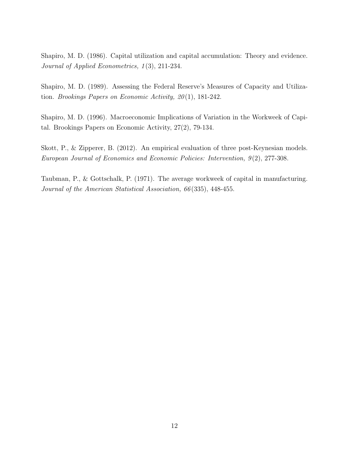Shapiro, M. D. (1986). Capital utilization and capital accumulation: Theory and evidence. Journal of Applied Econometrics, 1(3), 211-234.

Shapiro, M. D. (1989). Assessing the Federal Reserve's Measures of Capacity and Utilization. Brookings Papers on Economic Activity, 20 (1), 181-242.

Shapiro, M. D. (1996). Macroeconomic Implications of Variation in the Workweek of Capital. Brookings Papers on Economic Activity, 27(2), 79-134.

Skott, P., & Zipperer, B. (2012). An empirical evaluation of three post-Keynesian models. European Journal of Economics and Economic Policies: Intervention, 9 (2), 277-308.

Taubman, P., & Gottschalk, P. (1971). The average workweek of capital in manufacturing. Journal of the American Statistical Association, 66 (335), 448-455.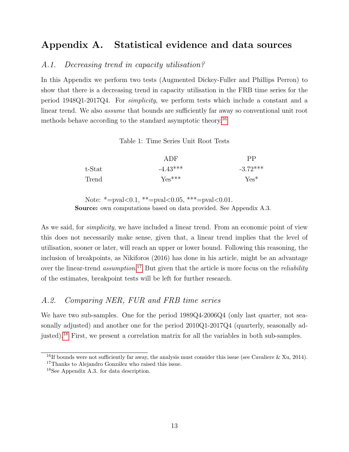# Appendix A. Statistical evidence and data sources

## A.1. Decreasing trend in capacity utilisation?

In this Appendix we perform two tests (Augmented Dickey-Fuller and Phillips Perron) to show that there is a decreasing trend in capacity utilisation in the FRB time series for the period 1948Q1-2017Q4. For simplicity, we perform tests which include a constant and a linear trend. We also assume that bounds are sufficiently far away so conventional unit root methods behave according to the standard asymptotic theory.[16](#page-14-0)

Table 1: Time Series Unit Root Tests

|        | ADF        | PP         |
|--------|------------|------------|
| t-Stat | $-4.43***$ | $-3.72***$ |
| Trend  | $Yes***$   | $Yes*$     |

Note:  $*=pval<0.1$ ,  $*=pval<0.05$ ,  $***=pval<0.01$ . Source: own computations based on data provided. See Appendix A.3.

As we said, for *simplicity*, we have included a linear trend. From an economic point of view this does not necessarily make sense, given that, a linear trend implies that the level of utilisation, sooner or later, will reach an upper or lower bound. Following this reasoning, the inclusion of breakpoints, as Nikiforos (2016) has done in his article, might be an advantage over the linear-trend *assumption*.<sup>[17](#page-14-1)</sup> But given that the article is more focus on the *reliability* of the estimates, breakpoint tests will be left for further research.

### A.2. Comparing NER, FUR and FRB time series

We have two sub-samples. One for the period  $1989Q4-2006Q4$  (only last quarter, not seasonally adjusted) and another one for the period 2010Q1-2017Q4 (quarterly, seasonally adjusted).[18](#page-14-2) First, we present a correlation matrix for all the variables in both sub-samples.

<span id="page-14-0"></span><sup>&</sup>lt;sup>16</sup>If bounds were not sufficiently far away, the analysis must consider this issue (see Cavaliere  $\&$  Xu, 2014).

<span id="page-14-1"></span> $17$ Thanks to Alejandro González who raised this issue.

<span id="page-14-2"></span><sup>18</sup>See Appendix A.3. for data description.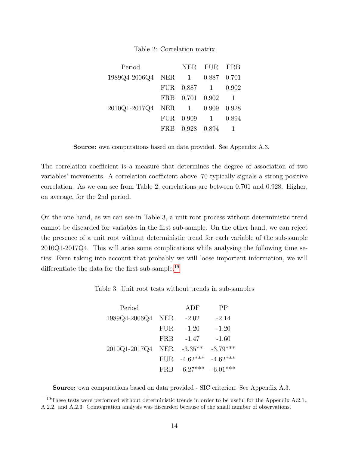#### Table 2: Correlation matrix

| Period                          |      |                  | NER FUR FRB     |       |
|---------------------------------|------|------------------|-----------------|-------|
| 1989Q4-2006Q4 NER 1 0.887 0.701 |      |                  |                 |       |
|                                 | FUR. |                  | $0.887$ 1 0.902 |       |
|                                 |      | FRB 0.701 0.902  |                 |       |
| 2010Q1-2017Q4 NER 1 0.909       |      |                  |                 | 0.928 |
|                                 | FUR. | $0.909 \qquad 1$ |                 | 0.894 |
|                                 | FRB. |                  | 0.928 0.894     |       |

Source: own computations based on data provided. See Appendix A.3.

The correlation coefficient is a measure that determines the degree of association of two variables' movements. A correlation coefficient above .70 typically signals a strong positive correlation. As we can see from Table 2, correlations are between 0.701 and 0.928. Higher, on average, for the 2nd period.

On the one hand, as we can see in Table 3, a unit root process without deterministic trend cannot be discarded for variables in the first sub-sample. On the other hand, we can reject the presence of a unit root without deterministic trend for each variable of the sub-sample 2010Q1-2017Q4. This will arise some complications while analysing the following time series: Even taking into account that probably we will loose important information, we will differentiate the data for the first sub-sample.<sup>[19](#page-15-0)</sup>

Table 3: Unit root tests without trends in sub-samples

| Period        |            | ADF        | PP         |
|---------------|------------|------------|------------|
| 1989Q4-2006Q4 | <b>NER</b> | $-2.02$    | $-2.14$    |
|               | <b>FUR</b> | $-1.20$    | $-1.20$    |
|               | FRB        | $-1.47$    | $-1.60$    |
| 2010Q1-2017Q4 | <b>NER</b> | $-3.35**$  | $-3.79***$ |
|               | <b>FUR</b> | $-4.62***$ | $-4.62***$ |
|               | <b>FRB</b> | $-6.27***$ | $-6.01***$ |

<span id="page-15-0"></span>Source: own computations based on data provided - SIC criterion. See Appendix A.3.

<sup>&</sup>lt;sup>19</sup>These tests were performed without deterministic trends in order to be useful for the Appendix A.2.1., A.2.2. and A.2.3. Cointegration analysis was discarded because of the small number of observations.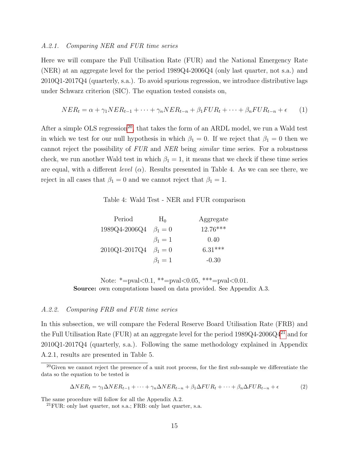#### A.2.1. Comparing NER and FUR time series

Here we will compare the Full Utilisation Rate (FUR) and the National Emergency Rate (NER) at an aggregate level for the period 1989Q4-2006Q4 (only last quarter, not s.a.) and 2010Q1-2017Q4 (quarterly, s.a.). To avoid spurious regression, we introduce distributive lags under Schwarz criterion (SIC). The equation tested consists on,

$$
NER_t = \alpha + \gamma_1 NER_{t-1} + \dots + \gamma_n NER_{t-n} + \beta_1 FUR_t + \dots + \beta_n FUR_{t-n} + \epsilon \tag{1}
$$

After a simple OLS regression<sup>[20](#page-16-0)</sup>, that takes the form of an ARDL model, we run a Wald test in which we test for our null hypothesis in which  $\beta_1 = 0$ . If we reject that  $\beta_1 = 0$  then we cannot reject the possibility of FUR and NER being similar time series. For a robustness check, we run another Wald test in which  $\beta_1 = 1$ , it means that we check if these time series are equal, with a different *level* ( $\alpha$ ). Results presented in Table 4. As we can see there, we reject in all cases that  $\beta_1 = 0$  and we cannot reject that  $\beta_1 = 1$ .

Table 4: Wald Test - NER and FUR comparison

| Period        | $H_0$       | Aggregate  |
|---------------|-------------|------------|
| 1989Q4-2006Q4 | $\beta_1=0$ | $12.76***$ |
|               | $\beta_1=1$ | 0.40       |
| 2010Q1-2017Q4 | $\beta_1=0$ | $6.31***$  |
|               | $\beta_1=1$ | $-0.30$    |

Note: \*=pval<0.1, \*\*=pval<0.05, \*\*\*=pval<0.01. Source: own computations based on data provided. See Appendix A.3.

#### A.2.2. Comparing FRB and FUR time series

In this subsection, we will compare the Federal Reserve Board Utilisation Rate (FRB) and the Full Utilisation Rate (FUR) at an aggregate level for the period  $1989Q4-2006Q4^{21}$  $1989Q4-2006Q4^{21}$  $1989Q4-2006Q4^{21}$  and for 2010Q1-2017Q4 (quarterly, s.a.). Following the same methodology explained in Appendix A.2.1, results are presented in Table 5.

$$
\Delta NER_t = \gamma_1 \Delta NER_{t-1} + \dots + \gamma_n \Delta NER_{t-n} + \beta_1 \Delta FUR_t + \dots + \beta_n \Delta FUR_{t-n} + \epsilon
$$
\n(2)

The same procedure will follow for all the Appendix A.2.

<span id="page-16-0"></span> $20$ Given we cannot reject the presence of a unit root process, for the first sub-sample we differentiate the data so the equation to be tested is

<span id="page-16-1"></span> $^{21}$ FUR: only last quarter, not s.a.; FRB: only last quarter, s.a.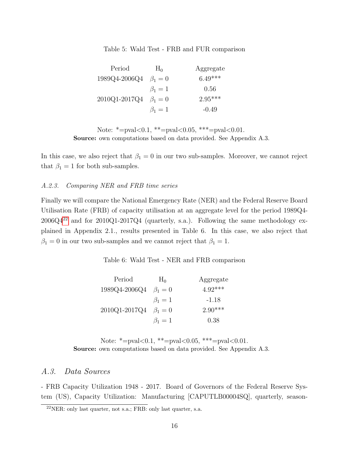Table 5: Wald Test - FRB and FUR comparison

| Period        | $H_0$       | Aggregate |
|---------------|-------------|-----------|
| 1989Q4-2006Q4 | $\beta_1=0$ | $6.49***$ |
|               | $\beta_1=1$ | 0.56      |
| 2010Q1-2017Q4 | $\beta_1=0$ | $2.95***$ |
|               | $\beta_1=1$ | $-0.49$   |

Note: \*=pval<0.1, \*\*=pval<0.05, \*\*\*=pval<0.01. Source: own computations based on data provided. See Appendix A.3.

In this case, we also reject that  $\beta_1 = 0$  in our two sub-samples. Moreover, we cannot reject that  $\beta_1 = 1$  for both sub-samples.

### A.2.3. Comparing NER and FRB time series

Finally we will compare the National Emergency Rate (NER) and the Federal Reserve Board Utilisation Rate (FRB) of capacity utilisation at an aggregate level for the period 1989Q4-  $2006Q4^{22}$  $2006Q4^{22}$  $2006Q4^{22}$  and for  $2010Q1-2017Q4$  (quarterly, s.a.). Following the same methodology explained in Appendix 2.1., results presented in Table 6. In this case, we also reject that  $\beta_1 = 0$  in our two sub-samples and we cannot reject that  $\beta_1 = 1$ .

Table 6: Wald Test - NER and FRB comparison

| Period        | $H_0$       | Aggregate |
|---------------|-------------|-----------|
| 1989Q4-2006Q4 | $\beta_1=0$ | $4.92***$ |
|               | $\beta_1=1$ | -1.18     |
| 2010Q1-2017Q4 | $\beta_1=0$ | $2.90***$ |
|               | $\beta_1=1$ | 0.38      |

Note:  $*=pval<0.1$ ,  $**=pval<0.05$ ,  $**=pval<0.01$ . Source: own computations based on data provided. See Appendix A.3.

## A.3. Data Sources

- FRB Capacity Utilization 1948 - 2017. Board of Governors of the Federal Reserve System (US), Capacity Utilization: Manufacturing [CAPUTLB00004SQ], quarterly, season-

<span id="page-17-0"></span> $^{22}$ NER: only last quarter, not s.a.; FRB: only last quarter, s.a.